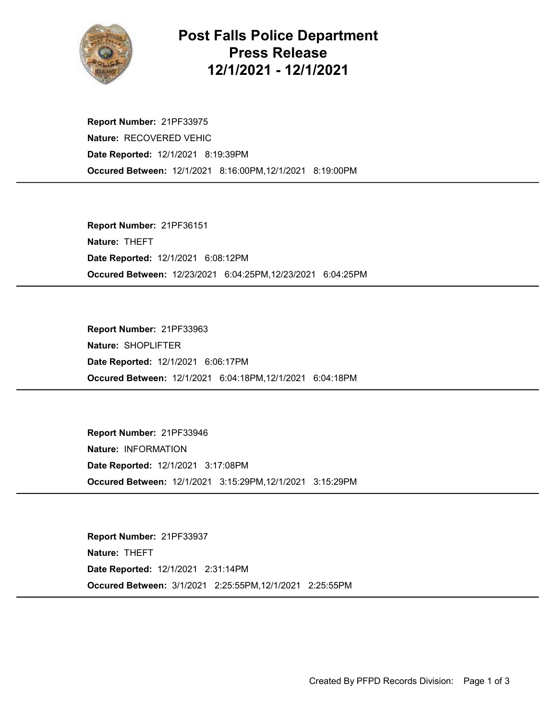

## Post Falls Police Department Press Release 12/1/2021 - 12/1/2021

Occured Between: 12/1/2021 8:16:00PM,12/1/2021 8:19:00PM Report Number: 21PF33975 Nature: RECOVERED VEHIC Date Reported: 12/1/2021 8:19:39PM

Occured Between: 12/23/2021 6:04:25PM,12/23/2021 6:04:25PM Report Number: 21PF36151 Nature: THEFT Date Reported: 12/1/2021 6:08:12PM

Occured Between: 12/1/2021 6:04:18PM,12/1/2021 6:04:18PM Report Number: 21PF33963 Nature: SHOPLIFTER Date Reported: 12/1/2021 6:06:17PM

Occured Between: 12/1/2021 3:15:29PM,12/1/2021 3:15:29PM Report Number: 21PF33946 Nature: INFORMATION Date Reported: 12/1/2021 3:17:08PM

Occured Between: 3/1/2021 2:25:55PM,12/1/2021 2:25:55PM Report Number: 21PF33937 Nature: THEFT Date Reported: 12/1/2021 2:31:14PM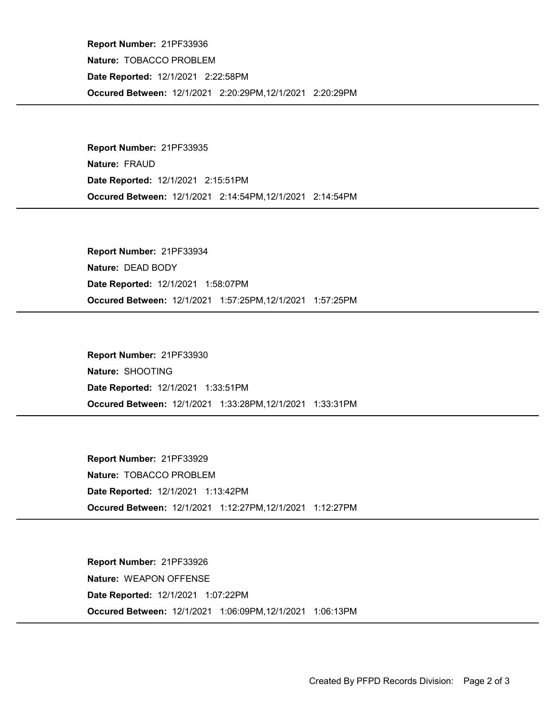Occured Between: 12/1/2021 2:20:29PM,12/1/2021 2:20:29PM Report Number: 21PF33936 Nature: TOBACCO PROBLEM Date Reported: 12/1/2021 2:22:58PM

Occured Between: 12/1/2021 2:14:54PM,12/1/2021 2:14:54PM Report Number: 21PF33935 Nature: FRAUD Date Reported: 12/1/2021 2:15:51PM

Occured Between: 12/1/2021 1:57:25PM,12/1/2021 1:57:25PM Report Number: 21PF33934 Nature: DEAD BODY Date Reported: 12/1/2021 1:58:07PM

Occured Between: 12/1/2021 1:33:28PM,12/1/2021 1:33:31PM Report Number: 21PF33930 Nature: SHOOTING Date Reported: 12/1/2021 1:33:51PM

Occured Between: 12/1/2021 1:12:27PM,12/1/2021 1:12:27PM Report Number: 21PF33929 Nature: TOBACCO PROBLEM Date Reported: 12/1/2021 1:13:42PM

Occured Between: 12/1/2021 1:06:09PM,12/1/2021 1:06:13PM Report Number: 21PF33926 Nature: WEAPON OFFENSE Date Reported: 12/1/2021 1:07:22PM